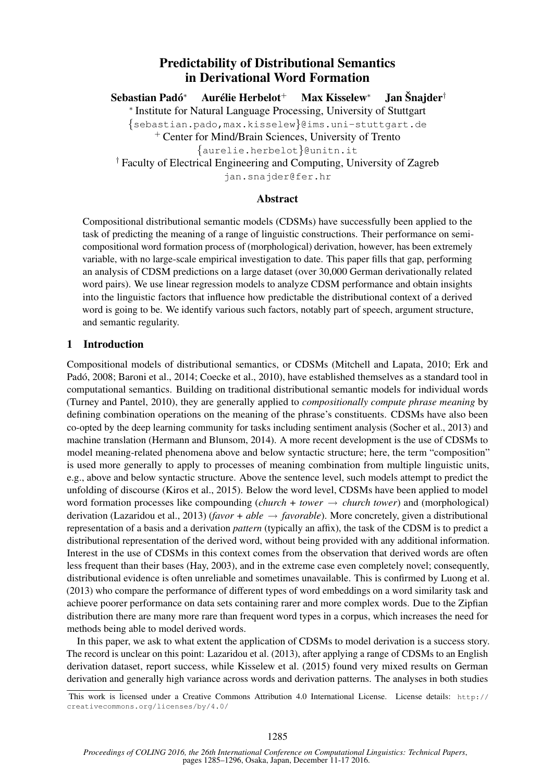# Predictability of Distributional Semantics in Derivational Word Formation

Sebastian Padó<sup>\*</sup> Aurélie Herbelot<sup>+</sup> Max Kisselew<sup>∗</sup> Jan Šnaider<sup>†</sup> ∗ Institute for Natural Language Processing, University of Stuttgart {sebastian.pado,max.kisselew}@ims.uni-stuttgart.de <sup>+</sup> Center for Mind/Brain Sciences, University of Trento {aurelie.herbelot}@unitn.it † Faculty of Electrical Engineering and Computing, University of Zagreb jan.snajder@fer.hr

# Abstract

Compositional distributional semantic models (CDSMs) have successfully been applied to the task of predicting the meaning of a range of linguistic constructions. Their performance on semicompositional word formation process of (morphological) derivation, however, has been extremely variable, with no large-scale empirical investigation to date. This paper fills that gap, performing an analysis of CDSM predictions on a large dataset (over 30,000 German derivationally related word pairs). We use linear regression models to analyze CDSM performance and obtain insights into the linguistic factors that influence how predictable the distributional context of a derived word is going to be. We identify various such factors, notably part of speech, argument structure, and semantic regularity.

### 1 Introduction

Compositional models of distributional semantics, or CDSMs (Mitchell and Lapata, 2010; Erk and Padó, 2008; Baroni et al., 2014; Coecke et al., 2010), have established themselves as a standard tool in computational semantics. Building on traditional distributional semantic models for individual words (Turney and Pantel, 2010), they are generally applied to *compositionally compute phrase meaning* by defining combination operations on the meaning of the phrase's constituents. CDSMs have also been co-opted by the deep learning community for tasks including sentiment analysis (Socher et al., 2013) and machine translation (Hermann and Blunsom, 2014). A more recent development is the use of CDSMs to model meaning-related phenomena above and below syntactic structure; here, the term "composition" is used more generally to apply to processes of meaning combination from multiple linguistic units, e.g., above and below syntactic structure. Above the sentence level, such models attempt to predict the unfolding of discourse (Kiros et al., 2015). Below the word level, CDSMs have been applied to model word formation processes like compounding  $(charch + tower \rightarrow church tower)$  and (morphological) derivation (Lazaridou et al., 2013) (*favor + able* → *favorable*). More concretely, given a distributional representation of a basis and a derivation *pattern* (typically an affix), the task of the CDSM is to predict a distributional representation of the derived word, without being provided with any additional information. Interest in the use of CDSMs in this context comes from the observation that derived words are often less frequent than their bases (Hay, 2003), and in the extreme case even completely novel; consequently, distributional evidence is often unreliable and sometimes unavailable. This is confirmed by Luong et al. (2013) who compare the performance of different types of word embeddings on a word similarity task and achieve poorer performance on data sets containing rarer and more complex words. Due to the Zipfian distribution there are many more rare than frequent word types in a corpus, which increases the need for methods being able to model derived words.

In this paper, we ask to what extent the application of CDSMs to model derivation is a success story. The record is unclear on this point: Lazaridou et al. (2013), after applying a range of CDSMs to an English derivation dataset, report success, while Kisselew et al. (2015) found very mixed results on German derivation and generally high variance across words and derivation patterns. The analyses in both studies

This work is licensed under a Creative Commons Attribution 4.0 International License. License details: http:// creativecommons.org/licenses/by/4.0/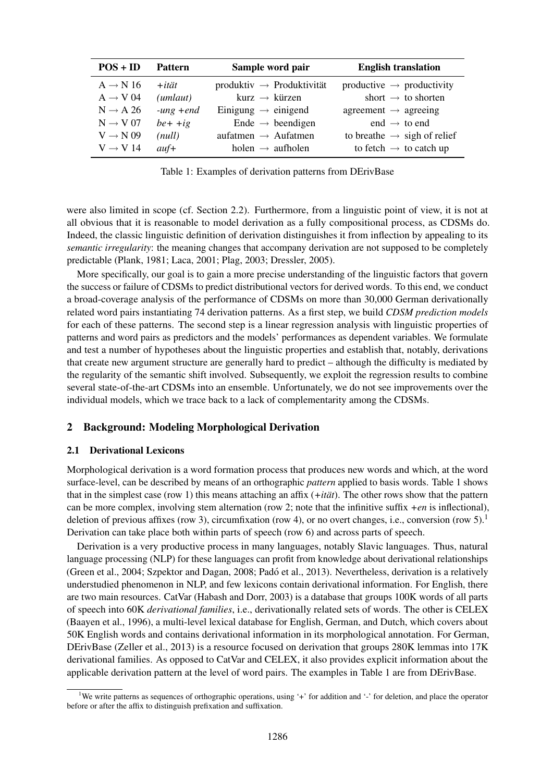| $POS + ID$           | <b>Pattern</b>  | Sample word pair                  | <b>English translation</b>              |
|----------------------|-----------------|-----------------------------------|-----------------------------------------|
| $A \rightarrow N 16$ | $+$ <i>ität</i> | $productiv \rightarrow Productiv$ | productive $\rightarrow$ productivity   |
| $A \rightarrow V 04$ | (unlaut)        | kurz $\rightarrow$ kürzen         | short $\rightarrow$ to shorten          |
| $N \rightarrow A 26$ | $-ung + end$    | Einigung $\rightarrow$ einigend   | agreement $\rightarrow$ agreeing        |
| $N \rightarrow V 07$ | $be++ig$        | Ende $\rightarrow$ beendigen      | end $\rightarrow$ to end                |
| $V \rightarrow N 09$ | (null)          | aufatmen $\rightarrow$ Aufatmen   | to breathe $\rightarrow$ sigh of relief |
| $V \rightarrow V 14$ | $auf+$          | holen $\rightarrow$ aufholen      | to fetch $\rightarrow$ to catch up      |

Table 1: Examples of derivation patterns from DErivBase

were also limited in scope (cf. Section 2.2). Furthermore, from a linguistic point of view, it is not at all obvious that it is reasonable to model derivation as a fully compositional process, as CDSMs do. Indeed, the classic linguistic definition of derivation distinguishes it from inflection by appealing to its *semantic irregularity*: the meaning changes that accompany derivation are not supposed to be completely predictable (Plank, 1981; Laca, 2001; Plag, 2003; Dressler, 2005).

More specifically, our goal is to gain a more precise understanding of the linguistic factors that govern the success or failure of CDSMs to predict distributional vectors for derived words. To this end, we conduct a broad-coverage analysis of the performance of CDSMs on more than 30,000 German derivationally related word pairs instantiating 74 derivation patterns. As a first step, we build *CDSM prediction models* for each of these patterns. The second step is a linear regression analysis with linguistic properties of patterns and word pairs as predictors and the models' performances as dependent variables. We formulate and test a number of hypotheses about the linguistic properties and establish that, notably, derivations that create new argument structure are generally hard to predict – although the difficulty is mediated by the regularity of the semantic shift involved. Subsequently, we exploit the regression results to combine several state-of-the-art CDSMs into an ensemble. Unfortunately, we do not see improvements over the individual models, which we trace back to a lack of complementarity among the CDSMs.

#### 2 Background: Modeling Morphological Derivation

#### 2.1 Derivational Lexicons

Morphological derivation is a word formation process that produces new words and which, at the word surface-level, can be described by means of an orthographic *pattern* applied to basis words. Table 1 shows that in the simplest case (row 1) this means attaching an affix  $(+it\ddot{a}t)$ . The other rows show that the pattern can be more complex, involving stem alternation (row 2; note that the infinitive suffix *+en* is inflectional), deletion of previous affixes (row 3), circumfixation (row 4), or no overt changes, i.e., conversion (row 5).<sup>1</sup> Derivation can take place both within parts of speech (row 6) and across parts of speech.

Derivation is a very productive process in many languages, notably Slavic languages. Thus, natural language processing (NLP) for these languages can profit from knowledge about derivational relationships (Green et al., 2004; Szpektor and Dagan, 2008; Pado et al., 2013). Nevertheless, derivation is a relatively ´ understudied phenomenon in NLP, and few lexicons contain derivational information. For English, there are two main resources. CatVar (Habash and Dorr, 2003) is a database that groups 100K words of all parts of speech into 60K *derivational families*, i.e., derivationally related sets of words. The other is CELEX (Baayen et al., 1996), a multi-level lexical database for English, German, and Dutch, which covers about 50K English words and contains derivational information in its morphological annotation. For German, DErivBase (Zeller et al., 2013) is a resource focused on derivation that groups 280K lemmas into 17K derivational families. As opposed to CatVar and CELEX, it also provides explicit information about the applicable derivation pattern at the level of word pairs. The examples in Table 1 are from DErivBase.

<sup>&</sup>lt;sup>1</sup>We write patterns as sequences of orthographic operations, using '+' for addition and '-' for deletion, and place the operator before or after the affix to distinguish prefixation and suffixation.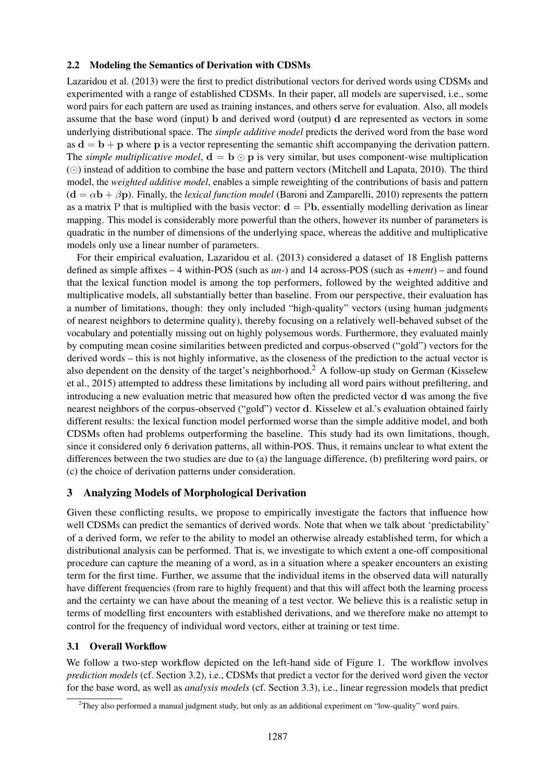#### 2.2 Modeling the Semantics of Derivation with CDSMs

Lazaridou et al. (2013) were the first to predict distributional vectors for derived words using CDSMs and experimented with a range of established CDSMs. In their paper, all models are supervised, i.e., some word pairs for each pattern are used as training instances, and others serve for evaluation. Also, all models assume that the base word (input) b and derived word (output) d are represented as vectors in some underlying distributional space. The *simple additive model* predicts the derived word from the base word as  $d = b + p$  where p is a vector representing the semantic shift accompanying the derivation pattern. The *simple multiplicative model*,  $\mathbf{d} = \mathbf{b} \odot \mathbf{p}$  is very similar, but uses component-wise multiplication  $\odot$ ) instead of addition to combine the base and pattern vectors (Mitchell and Lapata, 2010). The third model, the *weighted additive model*, enables a simple reweighting of the contributions of basis and pattern  $(d = \alpha \mathbf{b} + \beta \mathbf{p})$ . Finally, the *lexical function model* (Baroni and Zamparelli, 2010) represents the pattern as a matrix P that is multiplied with the basis vector:  $\mathbf{d} = \mathrm{Pb}$ , essentially modelling derivation as linear mapping. This model is considerably more powerful than the others, however its number of parameters is quadratic in the number of dimensions of the underlying space, whereas the additive and multiplicative models only use a linear number of parameters.

For their empirical evaluation, Lazaridou et al. (2013) considered a dataset of 18 English patterns defined as simple affixes – 4 within-POS (such as *un-*) and 14 across-POS (such as *+ment*) – and found that the lexical function model is among the top performers, followed by the weighted additive and multiplicative models, all substantially better than baseline. From our perspective, their evaluation has a number of limitations, though: they only included "high-quality" vectors (using human judgments of nearest neighbors to determine quality), thereby focusing on a relatively well-behaved subset of the vocabulary and potentially missing out on highly polysemous words. Furthermore, they evaluated mainly by computing mean cosine similarities between predicted and corpus-observed ("gold") vectors for the derived words – this is not highly informative, as the closeness of the prediction to the actual vector is also dependent on the density of the target's neighborhood.<sup>2</sup> A follow-up study on German (Kisselew et al., 2015) attempted to address these limitations by including all word pairs without prefiltering, and introducing a new evaluation metric that measured how often the predicted vector d was among the five nearest neighbors of the corpus-observed ("gold") vector d. Kisselew et al.'s evaluation obtained fairly different results: the lexical function model performed worse than the simple additive model, and both CDSMs often had problems outperforming the baseline. This study had its own limitations, though, since it considered only 6 derivation patterns, all within-POS. Thus, it remains unclear to what extent the differences between the two studies are due to (a) the language difference, (b) prefiltering word pairs, or (c) the choice of derivation patterns under consideration.

# 3 Analyzing Models of Morphological Derivation

Given these conflicting results, we propose to empirically investigate the factors that influence how well CDSMs can predict the semantics of derived words. Note that when we talk about 'predictability' of a derived form, we refer to the ability to model an otherwise already established term, for which a distributional analysis can be performed. That is, we investigate to which extent a one-off compositional procedure can capture the meaning of a word, as in a situation where a speaker encounters an existing term for the first time. Further, we assume that the individual items in the observed data will naturally have different frequencies (from rare to highly frequent) and that this will affect both the learning process and the certainty we can have about the meaning of a test vector. We believe this is a realistic setup in terms of modelling first encounters with established derivations, and we therefore make no attempt to control for the frequency of individual word vectors, either at training or test time.

### 3.1 Overall Workflow

We follow a two-step workflow depicted on the left-hand side of Figure 1. The workflow involves *prediction models* (cf. Section 3.2), i.e., CDSMs that predict a vector for the derived word given the vector for the base word, as well as *analysis models* (cf. Section 3.3), i.e., linear regression models that predict

<sup>2</sup>They also performed a manual judgment study, but only as an additional experiment on "low-quality" word pairs.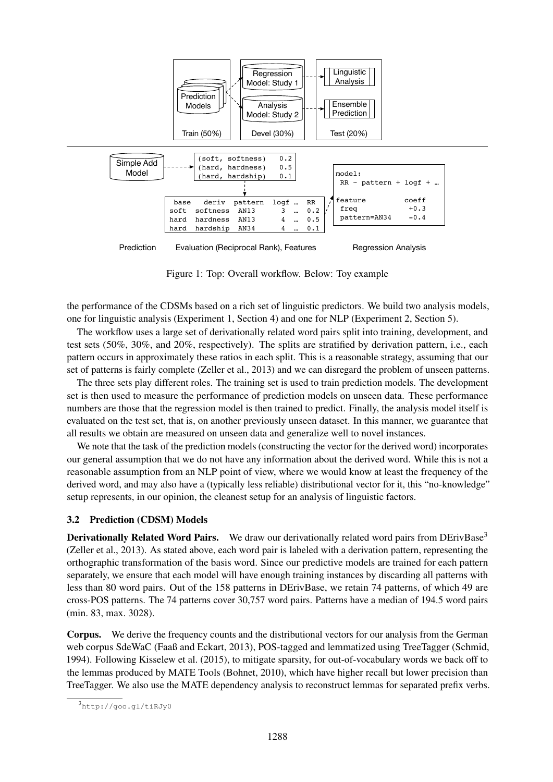

Figure 1: Top: Overall workflow. Below: Toy example

the performance of the CDSMs based on a rich set of linguistic predictors. We build two analysis models, one for linguistic analysis (Experiment 1, Section 4) and one for NLP (Experiment 2, Section 5).

The workflow uses a large set of derivationally related word pairs split into training, development, and test sets (50%, 30%, and 20%, respectively). The splits are stratified by derivation pattern, i.e., each pattern occurs in approximately these ratios in each split. This is a reasonable strategy, assuming that our set of patterns is fairly complete (Zeller et al., 2013) and we can disregard the problem of unseen patterns.

The three sets play different roles. The training set is used to train prediction models. The development set is then used to measure the performance of prediction models on unseen data. These performance numbers are those that the regression model is then trained to predict. Finally, the analysis model itself is evaluated on the test set, that is, on another previously unseen dataset. In this manner, we guarantee that all results we obtain are measured on unseen data and generalize well to novel instances.

We note that the task of the prediction models (constructing the vector for the derived word) incorporates our general assumption that we do not have any information about the derived word. While this is not a reasonable assumption from an NLP point of view, where we would know at least the frequency of the derived word, and may also have a (typically less reliable) distributional vector for it, this "no-knowledge" setup represents, in our opinion, the cleanest setup for an analysis of linguistic factors.

### 3.2 Prediction (CDSM) Models

**Derivationally Related Word Pairs.** We draw our derivationally related word pairs from DErivBase<sup>3</sup> (Zeller et al., 2013). As stated above, each word pair is labeled with a derivation pattern, representing the orthographic transformation of the basis word. Since our predictive models are trained for each pattern separately, we ensure that each model will have enough training instances by discarding all patterns with less than 80 word pairs. Out of the 158 patterns in DErivBase, we retain 74 patterns, of which 49 are cross-POS patterns. The 74 patterns cover 30,757 word pairs. Patterns have a median of 194.5 word pairs (min. 83, max. 3028).

Corpus. We derive the frequency counts and the distributional vectors for our analysis from the German web corpus SdeWaC (Faaß and Eckart, 2013), POS-tagged and lemmatized using TreeTagger (Schmid, 1994). Following Kisselew et al. (2015), to mitigate sparsity, for out-of-vocabulary words we back off to the lemmas produced by MATE Tools (Bohnet, 2010), which have higher recall but lower precision than TreeTagger. We also use the MATE dependency analysis to reconstruct lemmas for separated prefix verbs.

<sup>3</sup> http://goo.gl/tiRJy0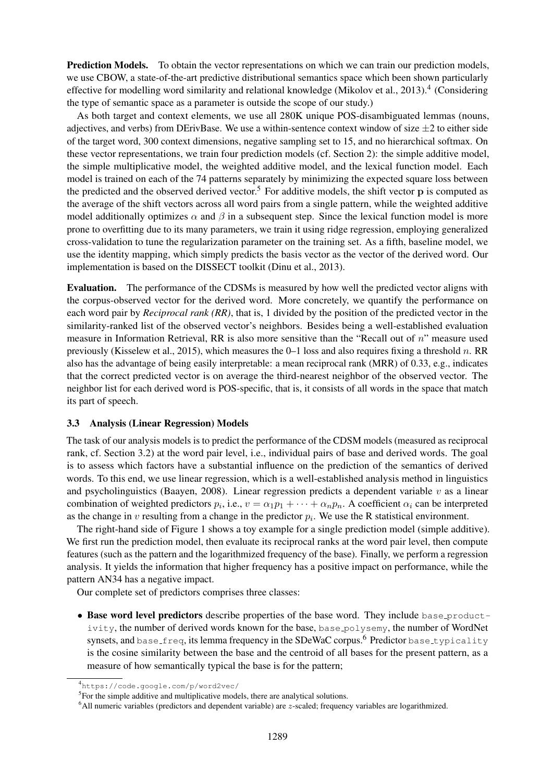Prediction Models. To obtain the vector representations on which we can train our prediction models, we use CBOW, a state-of-the-art predictive distributional semantics space which been shown particularly effective for modelling word similarity and relational knowledge (Mikolov et al., 2013).<sup>4</sup> (Considering the type of semantic space as a parameter is outside the scope of our study.)

As both target and context elements, we use all 280K unique POS-disambiguated lemmas (nouns, adjectives, and verbs) from DErivBase. We use a within-sentence context window of size  $\pm 2$  to either side of the target word, 300 context dimensions, negative sampling set to 15, and no hierarchical softmax. On these vector representations, we train four prediction models (cf. Section 2): the simple additive model, the simple multiplicative model, the weighted additive model, and the lexical function model. Each model is trained on each of the 74 patterns separately by minimizing the expected square loss between the predicted and the observed derived vector.<sup>5</sup> For additive models, the shift vector  $\bf{p}$  is computed as the average of the shift vectors across all word pairs from a single pattern, while the weighted additive model additionally optimizes  $\alpha$  and  $\beta$  in a subsequent step. Since the lexical function model is more prone to overfitting due to its many parameters, we train it using ridge regression, employing generalized cross-validation to tune the regularization parameter on the training set. As a fifth, baseline model, we use the identity mapping, which simply predicts the basis vector as the vector of the derived word. Our implementation is based on the DISSECT toolkit (Dinu et al., 2013).

Evaluation. The performance of the CDSMs is measured by how well the predicted vector aligns with the corpus-observed vector for the derived word. More concretely, we quantify the performance on each word pair by *Reciprocal rank (RR)*, that is, 1 divided by the position of the predicted vector in the similarity-ranked list of the observed vector's neighbors. Besides being a well-established evaluation measure in Information Retrieval, RR is also more sensitive than the "Recall out of  $n$ " measure used previously (Kisselew et al., 2015), which measures the 0–1 loss and also requires fixing a threshold n. RR also has the advantage of being easily interpretable: a mean reciprocal rank (MRR) of 0.33, e.g., indicates that the correct predicted vector is on average the third-nearest neighbor of the observed vector. The neighbor list for each derived word is POS-specific, that is, it consists of all words in the space that match its part of speech.

#### 3.3 Analysis (Linear Regression) Models

The task of our analysis models is to predict the performance of the CDSM models (measured as reciprocal rank, cf. Section 3.2) at the word pair level, i.e., individual pairs of base and derived words. The goal is to assess which factors have a substantial influence on the prediction of the semantics of derived words. To this end, we use linear regression, which is a well-established analysis method in linguistics and psycholinguistics (Baayen, 2008). Linear regression predicts a dependent variable  $v$  as a linear combination of weighted predictors  $p_i$ , i.e.,  $v = \alpha_1 p_1 + \cdots + \alpha_n p_n$ . A coefficient  $\alpha_i$  can be interpreted as the change in v resulting from a change in the predictor  $p_i$ . We use the R statistical environment.

The right-hand side of Figure 1 shows a toy example for a single prediction model (simple additive). We first run the prediction model, then evaluate its reciprocal ranks at the word pair level, then compute features (such as the pattern and the logarithmized frequency of the base). Finally, we perform a regression analysis. It yields the information that higher frequency has a positive impact on performance, while the pattern AN34 has a negative impact.

Our complete set of predictors comprises three classes:

• Base word level predictors describe properties of the base word. They include base productivity, the number of derived words known for the base, base polysemy, the number of WordNet synsets, and base  $f$ req, its lemma frequency in the SDeWaC corpus.<sup>6</sup> Predictor base typicality is the cosine similarity between the base and the centroid of all bases for the present pattern, as a measure of how semantically typical the base is for the pattern;

<sup>4</sup> https://code.google.com/p/word2vec/

<sup>&</sup>lt;sup>5</sup>For the simple additive and multiplicative models, there are analytical solutions.

 $6$ All numeric variables (predictors and dependent variable) are  $z$ -scaled; frequency variables are logarithmized.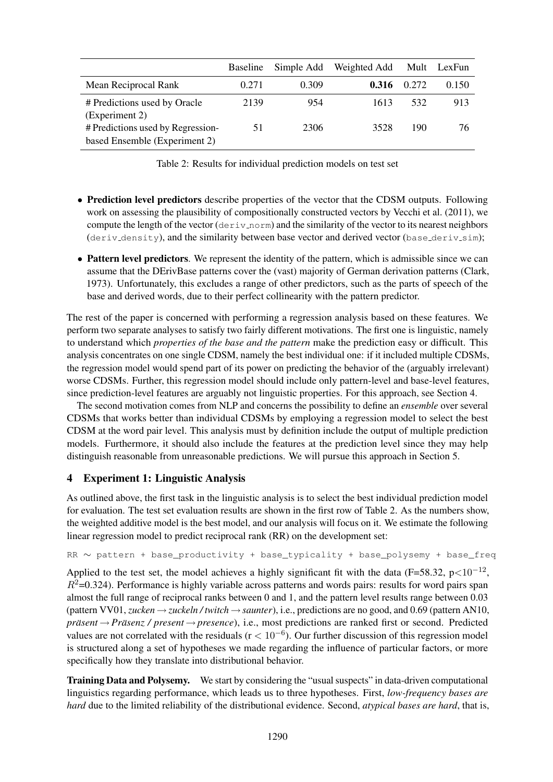|                                                                    | <b>Baseline</b> | Simple Add | Weighted Add | Mult  | LexFun |
|--------------------------------------------------------------------|-----------------|------------|--------------|-------|--------|
| Mean Reciprocal Rank                                               | 0.271           | 0.309      | 0.316        | 0.272 | 0.150  |
| # Predictions used by Oracle<br>(Experiment 2)                     | 2139            | 954        | 1613         | 532   | 913    |
| # Predictions used by Regression-<br>based Ensemble (Experiment 2) | 51              | 2306       | 3528         | 190   | 76     |

Table 2: Results for individual prediction models on test set

- Prediction level predictors describe properties of the vector that the CDSM outputs. Following work on assessing the plausibility of compositionally constructed vectors by Vecchi et al. (2011), we compute the length of the vector (deriv norm) and the similarity of the vector to its nearest neighbors (deriv\_density), and the similarity between base vector and derived vector (base\_deriv\_sim);
- Pattern level predictors. We represent the identity of the pattern, which is admissible since we can assume that the DErivBase patterns cover the (vast) majority of German derivation patterns (Clark, 1973). Unfortunately, this excludes a range of other predictors, such as the parts of speech of the base and derived words, due to their perfect collinearity with the pattern predictor.

The rest of the paper is concerned with performing a regression analysis based on these features. We perform two separate analyses to satisfy two fairly different motivations. The first one is linguistic, namely to understand which *properties of the base and the pattern* make the prediction easy or difficult. This analysis concentrates on one single CDSM, namely the best individual one: if it included multiple CDSMs, the regression model would spend part of its power on predicting the behavior of the (arguably irrelevant) worse CDSMs. Further, this regression model should include only pattern-level and base-level features, since prediction-level features are arguably not linguistic properties. For this approach, see Section 4.

The second motivation comes from NLP and concerns the possibility to define an *ensemble* over several CDSMs that works better than individual CDSMs by employing a regression model to select the best CDSM at the word pair level. This analysis must by definition include the output of multiple prediction models. Furthermore, it should also include the features at the prediction level since they may help distinguish reasonable from unreasonable predictions. We will pursue this approach in Section 5.

# 4 Experiment 1: Linguistic Analysis

As outlined above, the first task in the linguistic analysis is to select the best individual prediction model for evaluation. The test set evaluation results are shown in the first row of Table 2. As the numbers show, the weighted additive model is the best model, and our analysis will focus on it. We estimate the following linear regression model to predict reciprocal rank (RR) on the development set:

```
RR ~ pattern + base productivity + base typicality + base polysemy + base freq
```
Applied to the test set, the model achieves a highly significant fit with the data (F=58.32, p<10<sup>-12</sup>,  $R^2$ =0.324). Performance is highly variable across patterns and words pairs: results for word pairs span almost the full range of reciprocal ranks between 0 and 1, and the pattern level results range between 0.03 (pattern VV01, *zucken* →*zuckeln / twitch* →*saunter*), i.e., predictions are no good, and 0.69 (pattern AN10, *prasent ¨* → *Prasenz / present ¨* → *presence*), i.e., most predictions are ranked first or second. Predicted values are not correlated with the residuals ( $r < 10^{-6}$ ). Our further discussion of this regression model is structured along a set of hypotheses we made regarding the influence of particular factors, or more specifically how they translate into distributional behavior.

Training Data and Polysemy. We start by considering the "usual suspects" in data-driven computational linguistics regarding performance, which leads us to three hypotheses. First, *low-frequency bases are hard* due to the limited reliability of the distributional evidence. Second, *atypical bases are hard*, that is,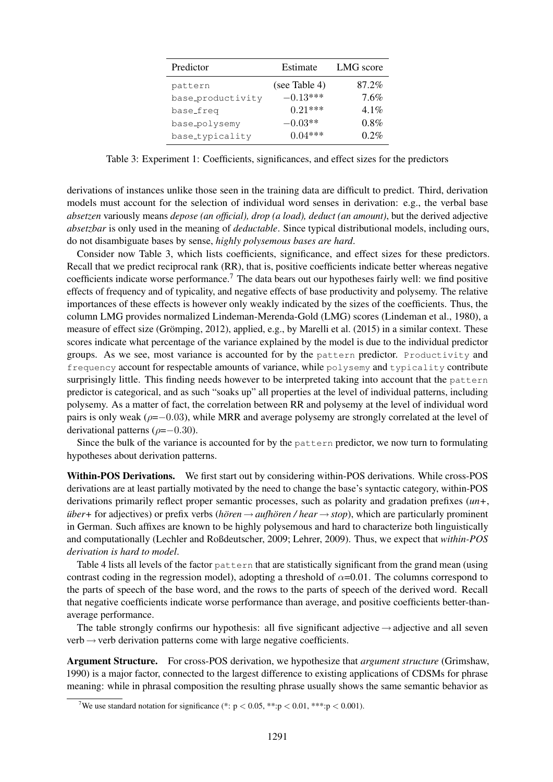| Predictor         | Estimate      | LMG score |
|-------------------|---------------|-----------|
| pattern           | (see Table 4) | 87.2%     |
| base_productivity | $-0.13***$    | $7.6\%$   |
| base_freq         | $0.21***$     | $4.1\%$   |
| base_polysemy     | $-0.03**$     | $0.8\%$   |
| base_typicality   | $0.04***$     | $0.2\%$   |

Table 3: Experiment 1: Coefficients, significances, and effect sizes for the predictors

derivations of instances unlike those seen in the training data are difficult to predict. Third, derivation models must account for the selection of individual word senses in derivation: e.g., the verbal base *absetzen* variously means *depose (an official), drop (a load), deduct (an amount)*, but the derived adjective *absetzbar* is only used in the meaning of *deductable*. Since typical distributional models, including ours, do not disambiguate bases by sense, *highly polysemous bases are hard*.

Consider now Table 3, which lists coefficients, significance, and effect sizes for these predictors. Recall that we predict reciprocal rank (RR), that is, positive coefficients indicate better whereas negative coefficients indicate worse performance.<sup>7</sup> The data bears out our hypotheses fairly well: we find positive effects of frequency and of typicality, and negative effects of base productivity and polysemy. The relative importances of these effects is however only weakly indicated by the sizes of the coefficients. Thus, the column LMG provides normalized Lindeman-Merenda-Gold (LMG) scores (Lindeman et al., 1980), a measure of effect size (Grömping, 2012), applied, e.g., by Marelli et al. (2015) in a similar context. These scores indicate what percentage of the variance explained by the model is due to the individual predictor groups. As we see, most variance is accounted for by the pattern predictor. Productivity and frequency account for respectable amounts of variance, while polysemy and typicality contribute surprisingly little. This finding needs however to be interpreted taking into account that the pattern predictor is categorical, and as such "soaks up" all properties at the level of individual patterns, including polysemy. As a matter of fact, the correlation between RR and polysemy at the level of individual word pairs is only weak ( $\rho = 0.03$ ), while MRR and average polysemy are strongly correlated at the level of derivational patterns ( $\rho = -0.30$ ).

Since the bulk of the variance is accounted for by the pattern predictor, we now turn to formulating hypotheses about derivation patterns.

Within-POS Derivations. We first start out by considering within-POS derivations. While cross-POS derivations are at least partially motivated by the need to change the base's syntactic category, within-POS derivations primarily reflect proper semantic processes, such as polarity and gradation prefixes (*un+*, *uber*+ for adjectives) or prefix verbs (*horen*  $\rightarrow$  *aufhoren* / *hear*  $\rightarrow$  *stop*), which are particularly prominent in German. Such affixes are known to be highly polysemous and hard to characterize both linguistically and computationally (Lechler and Roßdeutscher, 2009; Lehrer, 2009). Thus, we expect that *within-POS derivation is hard to model*.

Table 4 lists all levels of the factor pattern that are statistically significant from the grand mean (using contrast coding in the regression model), adopting a threshold of  $\alpha$ =0.01. The columns correspond to the parts of speech of the base word, and the rows to the parts of speech of the derived word. Recall that negative coefficients indicate worse performance than average, and positive coefficients better-thanaverage performance.

The table strongly confirms our hypothesis: all five significant adjective  $\rightarrow$  adjective and all seven  $verb \leftrightarrow verb$  derivation patterns come with large negative coefficients.

Argument Structure. For cross-POS derivation, we hypothesize that *argument structure* (Grimshaw, 1990) is a major factor, connected to the largest difference to existing applications of CDSMs for phrase meaning: while in phrasal composition the resulting phrase usually shows the same semantic behavior as

<sup>&</sup>lt;sup>7</sup>We use standard notation for significance (\*:  $p < 0.05$ , \*\*: $p < 0.01$ , \*\*\*: $p < 0.001$ ).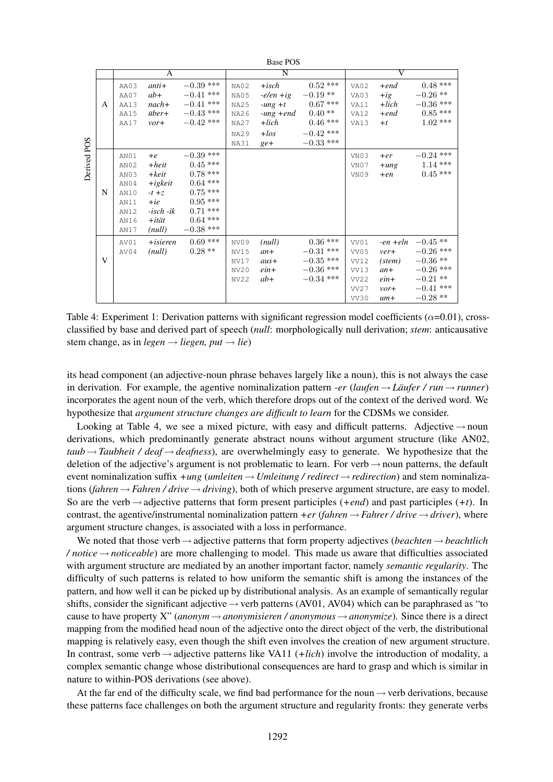|             |   |                                                                      |                                                                                                        |                                                                                                                       |                                                                                  | Dase FUS                                                                              |                                                                                            |                                                      |                                                                                |                                                                                                 |
|-------------|---|----------------------------------------------------------------------|--------------------------------------------------------------------------------------------------------|-----------------------------------------------------------------------------------------------------------------------|----------------------------------------------------------------------------------|---------------------------------------------------------------------------------------|--------------------------------------------------------------------------------------------|------------------------------------------------------|--------------------------------------------------------------------------------|-------------------------------------------------------------------------------------------------|
|             |   | A                                                                    |                                                                                                        |                                                                                                                       | $\overline{\rm N}$                                                               |                                                                                       |                                                                                            | $\overline{\rm v}$                                   |                                                                                |                                                                                                 |
|             | A | AA03<br>AA07<br><b>AA13</b><br>AA15<br>AA17                          | $anti+$<br>$ab+$<br>$nach+$<br><i>über</i> +<br>vort                                                   | $-0.39$ ***<br>$-0.41$ ***<br>$-0.41$ ***<br>$-0.43$ ***<br>$-0.42$ ***                                               | NA02<br>NA05<br><b>NA25</b><br><b>NA26</b><br><b>NA27</b><br><b>NA29</b><br>NA31 | $+ isch$<br>$-e/en + ig$<br>$-ung +t$<br>$-ung + end$<br>$+$ lich<br>$+$ los<br>$ge+$ | $0.52***$<br>$-0.19**$<br>$0.67***$<br>$0.40**$<br>$0.46***$<br>$-0.42$ ***<br>$-0.33$ *** | VA02<br>VA03<br>VA11<br>VA12<br>VA13                 | $+end$<br>$+ig$<br>$+$ lich<br>$+end$<br>$+t$                                  | $0.48***$<br>$-0.26**$<br>$-0.36$ ***<br>$0.85***$<br>$1.02***$                                 |
| Derived POS | N | AN01<br>AN02<br>AN03<br>AN04<br>AN10<br>AN11<br>AN12<br>AN16<br>AN17 | $+e$<br>$+heit$<br>$+keit$<br>$+igkeit$<br>$-t + z$<br>$+ie$<br>-isch -ik<br>$+$ <i>ität</i><br>(null) | $-0.39$ ***<br>$0.45***$<br>$0.78***$<br>$0.64***$<br>$0.75***$<br>$0.95***$<br>$0.71***$<br>$0.64***$<br>$-0.38$ *** |                                                                                  |                                                                                       |                                                                                            | VN03<br>VN07<br>VN09                                 | $+er$<br>$+ung$<br>$+en$                                                       | $-0.24$ ***<br>$1.14***$<br>$0.45***$                                                           |
|             | V | AV01<br>AV04                                                         | $+ isieren$<br>(null)                                                                                  | $0.69***$<br>$0.28**$                                                                                                 | NV09<br><b>NV15</b><br>NV17<br>NV20<br><b>NV22</b>                               | (null)<br>$an+$<br>$aus+$<br>$e$ <i>in</i> $+$<br>$ab+$                               | $0.36***$<br>$-0.31$ ***<br>$-0.35$ ***<br>$-0.36$ ***<br>$-0.34$ ***                      | VV01<br>VV05<br>VV12<br>VV13<br>VV22<br>VV27<br>VV30 | $-en + eln$<br>$ver+$<br>(stem)<br>$an+$<br>$e$ <i>in</i> $+$<br>vort<br>$um+$ | $-0.45**$<br>$-0.26$ ***<br>$-0.36$ **<br>$-0.26$ ***<br>$-0.21$ **<br>$-0.41$ ***<br>$-0.28**$ |

Base POS

Table 4: Experiment 1: Derivation patterns with significant regression model coefficients ( $\alpha$ =0.01), crossclassified by base and derived part of speech (*null*: morphologically null derivation; *stem*: anticausative stem change, as in *legen*  $\rightarrow$  *liegen, put*  $\rightarrow$  *lie*)

its head component (an adjective-noun phrase behaves largely like a noun), this is not always the case in derivation. For example, the agentive nominalization pattern *-er* (*laufen*  $\rightarrow$  *Läufer* / *run*  $\rightarrow$  *runner*) incorporates the agent noun of the verb, which therefore drops out of the context of the derived word. We hypothesize that *argument structure changes are difficult to learn* for the CDSMs we consider.

Looking at Table 4, we see a mixed picture, with easy and difficult patterns. Adjective  $\rightarrow$  noun derivations, which predominantly generate abstract nouns without argument structure (like AN02,  $taub \rightarrow Taubheit$  /  $deaf \rightarrow deafness$ ), are overwhelmingly easy to generate. We hypothesize that the deletion of the adjective's argument is not problematic to learn. For verb $\rightarrow$ noun patterns, the default event nominalization suffix *+ung* (*umleiten*→ *Umleitung / redirect* → *redirection*) and stem nominalizations (*fahren* → *Fahren / drive* →*driving*), both of which preserve argument structure, are easy to model. So are the verb  $\rightarrow$  adjective patterns that form present participles (*+end*) and past participles (*+t*). In contrast, the agentive/instrumental nominalization pattern *+er* (*fahren*  $\rightarrow$  *Fahrer* / *drive*  $\rightarrow$  *driver*), where argument structure changes, is associated with a loss in performance.

We noted that those verb→adjective patterns that form property adjectives (*beachten*→ *beachtlich / notice*→*noticeable*) are more challenging to model. This made us aware that difficulties associated with argument structure are mediated by an another important factor, namely *semantic regularity*. The difficulty of such patterns is related to how uniform the semantic shift is among the instances of the pattern, and how well it can be picked up by distributional analysis. As an example of semantically regular shifts, consider the significant adjective  $\rightarrow$  verb patterns (AV01, AV04) which can be paraphrased as "to cause to have property X" (*anonym*  $\rightarrow$  *anonymisieren* / *anonymous*  $\rightarrow$  *anonymize*). Since there is a direct mapping from the modified head noun of the adjective onto the direct object of the verb, the distributional mapping is relatively easy, even though the shift even involves the creation of new argument structure. In contrast, some verb→adjective patterns like VA11 (*+lich*) involve the introduction of modality, a complex semantic change whose distributional consequences are hard to grasp and which is similar in nature to within-POS derivations (see above).

At the far end of the difficulty scale, we find bad performance for the noun  $\rightarrow$  verb derivations, because these patterns face challenges on both the argument structure and regularity fronts: they generate verbs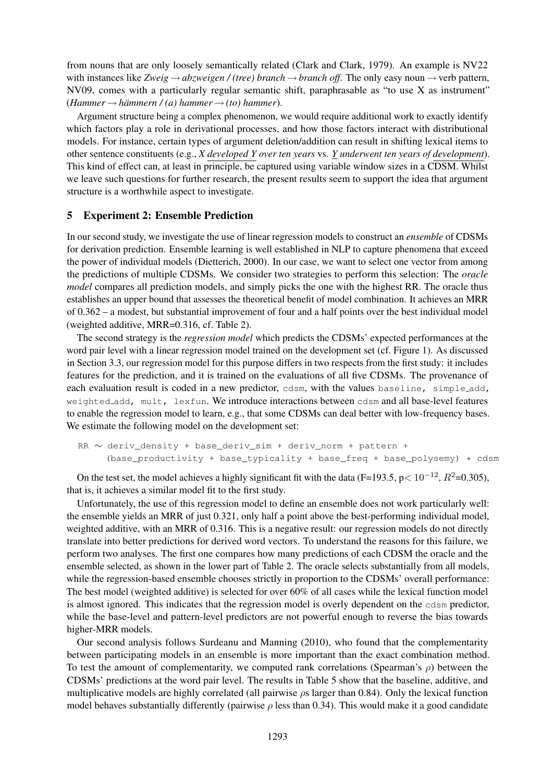from nouns that are only loosely semantically related (Clark and Clark, 1979). An example is NV22 with instances like *Zweig*  $\rightarrow$  *abzweigen* / (tree) *branch*  $\rightarrow$  *branch off.* The only easy noun  $\rightarrow$  verb pattern, NV09, comes with a particularly regular semantic shift, paraphrasable as "to use X as instrument"  $(Hammer \rightarrow hämmern / (a) hammer \rightarrow (to) hammer).$ 

Argument structure being a complex phenomenon, we would require additional work to exactly identify which factors play a role in derivational processes, and how those factors interact with distributional models. For instance, certain types of argument deletion/addition can result in shifting lexical items to other sentence constituents (e.g., *X developed Y over ten years* vs. *Y underwent ten years of development*). This kind of effect can, at least in principle, be captured using variable window sizes in a CDSM. Whilst we leave such questions for further research, the present results seem to support the idea that argument structure is a worthwhile aspect to investigate.

# 5 Experiment 2: Ensemble Prediction

In our second study, we investigate the use of linear regression models to construct an *ensemble* of CDSMs for derivation prediction. Ensemble learning is well established in NLP to capture phenomena that exceed the power of individual models (Dietterich, 2000). In our case, we want to select one vector from among the predictions of multiple CDSMs. We consider two strategies to perform this selection: The *oracle model* compares all prediction models, and simply picks the one with the highest RR. The oracle thus establishes an upper bound that assesses the theoretical benefit of model combination. It achieves an MRR of 0.362 – a modest, but substantial improvement of four and a half points over the best individual model (weighted additive, MRR=0.316, cf. Table 2).

The second strategy is the *regression model* which predicts the CDSMs' expected performances at the word pair level with a linear regression model trained on the development set (cf. Figure 1). As discussed in Section 3.3, our regression model for this purpose differs in two respects from the first study: it includes features for the prediction, and it is trained on the evaluations of all five CDSMs. The provenance of each evaluation result is coded in a new predictor, cdsm, with the values baseline, simple add, weighted add, mult, lexfun. We introduce interactions between cdsm and all base-level features to enable the regression model to learn, e.g., that some CDSMs can deal better with low-frequency bases. We estimate the following model on the development set:

```
RR ∼ deriv_density + base_deriv_sim + deriv_norm + pattern +
(base_productivity + base_typicality + base_freq + base_polysemy) \star cdsm
```
On the test set, the model achieves a highly significant fit with the data (F=193.5, p<  $10^{-12}$ ,  $R^2$ =0.305), that is, it achieves a similar model fit to the first study.

Unfortunately, the use of this regression model to define an ensemble does not work particularly well: the ensemble yields an MRR of just 0.321, only half a point above the best-performing individual model, weighted additive, with an MRR of 0.316. This is a negative result: our regression models do not directly translate into better predictions for derived word vectors. To understand the reasons for this failure, we perform two analyses. The first one compares how many predictions of each CDSM the oracle and the ensemble selected, as shown in the lower part of Table 2. The oracle selects substantially from all models, while the regression-based ensemble chooses strictly in proportion to the CDSMs' overall performance: The best model (weighted additive) is selected for over 60% of all cases while the lexical function model is almost ignored. This indicates that the regression model is overly dependent on the cdsm predictor, while the base-level and pattern-level predictors are not powerful enough to reverse the bias towards higher-MRR models.

Our second analysis follows Surdeanu and Manning (2010), who found that the complementarity between participating models in an ensemble is more important than the exact combination method. To test the amount of complementarity, we computed rank correlations (Spearman's  $\rho$ ) between the CDSMs' predictions at the word pair level. The results in Table 5 show that the baseline, additive, and multiplicative models are highly correlated (all pairwise  $\rho s$  larger than 0.84). Only the lexical function model behaves substantially differently (pairwise  $\rho$  less than 0.34). This would make it a good candidate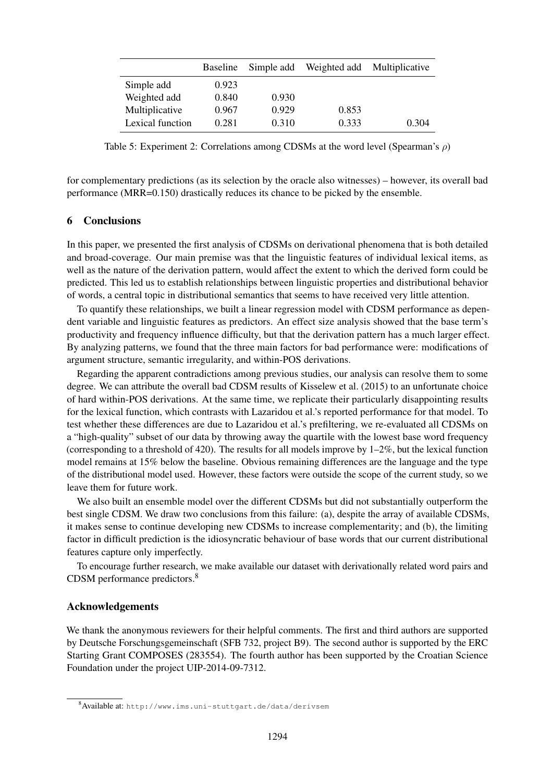|                  | <b>Baseline</b> | Simple add | Weighted add | Multiplicative |
|------------------|-----------------|------------|--------------|----------------|
| Simple add       | 0.923           |            |              |                |
| Weighted add     | 0.840           | 0.930      |              |                |
| Multiplicative   | 0.967           | 0.929      | 0.853        |                |
| Lexical function | 0.281           | 0.310      | 0.333        | 0.304          |

Table 5: Experiment 2: Correlations among CDSMs at the word level (Spearman's  $\rho$ )

for complementary predictions (as its selection by the oracle also witnesses) – however, its overall bad performance (MRR=0.150) drastically reduces its chance to be picked by the ensemble.

# 6 Conclusions

In this paper, we presented the first analysis of CDSMs on derivational phenomena that is both detailed and broad-coverage. Our main premise was that the linguistic features of individual lexical items, as well as the nature of the derivation pattern, would affect the extent to which the derived form could be predicted. This led us to establish relationships between linguistic properties and distributional behavior of words, a central topic in distributional semantics that seems to have received very little attention.

To quantify these relationships, we built a linear regression model with CDSM performance as dependent variable and linguistic features as predictors. An effect size analysis showed that the base term's productivity and frequency influence difficulty, but that the derivation pattern has a much larger effect. By analyzing patterns, we found that the three main factors for bad performance were: modifications of argument structure, semantic irregularity, and within-POS derivations.

Regarding the apparent contradictions among previous studies, our analysis can resolve them to some degree. We can attribute the overall bad CDSM results of Kisselew et al. (2015) to an unfortunate choice of hard within-POS derivations. At the same time, we replicate their particularly disappointing results for the lexical function, which contrasts with Lazaridou et al.'s reported performance for that model. To test whether these differences are due to Lazaridou et al.'s prefiltering, we re-evaluated all CDSMs on a "high-quality" subset of our data by throwing away the quartile with the lowest base word frequency (corresponding to a threshold of 420). The results for all models improve by  $1-2\%$ , but the lexical function model remains at 15% below the baseline. Obvious remaining differences are the language and the type of the distributional model used. However, these factors were outside the scope of the current study, so we leave them for future work.

We also built an ensemble model over the different CDSMs but did not substantially outperform the best single CDSM. We draw two conclusions from this failure: (a), despite the array of available CDSMs, it makes sense to continue developing new CDSMs to increase complementarity; and (b), the limiting factor in difficult prediction is the idiosyncratic behaviour of base words that our current distributional features capture only imperfectly.

To encourage further research, we make available our dataset with derivationally related word pairs and CDSM performance predictors.<sup>8</sup>

### Acknowledgements

We thank the anonymous reviewers for their helpful comments. The first and third authors are supported by Deutsche Forschungsgemeinschaft (SFB 732, project B9). The second author is supported by the ERC Starting Grant COMPOSES (283554). The fourth author has been supported by the Croatian Science Foundation under the project UIP-2014-09-7312.

<sup>8</sup>Available at: http://www.ims.uni-stuttgart.de/data/derivsem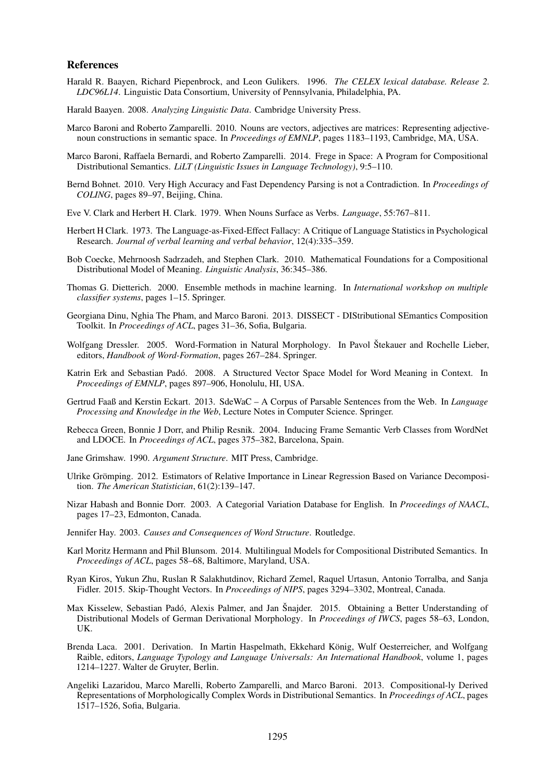#### References

- Harald R. Baayen, Richard Piepenbrock, and Leon Gulikers. 1996. *The CELEX lexical database. Release 2. LDC96L14*. Linguistic Data Consortium, University of Pennsylvania, Philadelphia, PA.
- Harald Baayen. 2008. *Analyzing Linguistic Data*. Cambridge University Press.
- Marco Baroni and Roberto Zamparelli. 2010. Nouns are vectors, adjectives are matrices: Representing adjectivenoun constructions in semantic space. In *Proceedings of EMNLP*, pages 1183–1193, Cambridge, MA, USA.
- Marco Baroni, Raffaela Bernardi, and Roberto Zamparelli. 2014. Frege in Space: A Program for Compositional Distributional Semantics. *LiLT (Linguistic Issues in Language Technology)*, 9:5–110.
- Bernd Bohnet. 2010. Very High Accuracy and Fast Dependency Parsing is not a Contradiction. In *Proceedings of COLING*, pages 89–97, Beijing, China.
- Eve V. Clark and Herbert H. Clark. 1979. When Nouns Surface as Verbs. *Language*, 55:767–811.
- Herbert H Clark. 1973. The Language-as-Fixed-Effect Fallacy: A Critique of Language Statistics in Psychological Research. *Journal of verbal learning and verbal behavior*, 12(4):335–359.
- Bob Coecke, Mehrnoosh Sadrzadeh, and Stephen Clark. 2010. Mathematical Foundations for a Compositional Distributional Model of Meaning. *Linguistic Analysis*, 36:345–386.
- Thomas G. Dietterich. 2000. Ensemble methods in machine learning. In *International workshop on multiple classifier systems*, pages 1–15. Springer.
- Georgiana Dinu, Nghia The Pham, and Marco Baroni. 2013. DISSECT DIStributional SEmantics Composition Toolkit. In *Proceedings of ACL*, pages 31–36, Sofia, Bulgaria.
- Wolfgang Dressler. 2005. Word-Formation in Natural Morphology. In Pavol Štekauer and Rochelle Lieber, editors, *Handbook of Word-Formation*, pages 267–284. Springer.
- Katrin Erk and Sebastian Pado. 2008. A Structured Vector Space Model for Word Meaning in Context. In ´ *Proceedings of EMNLP*, pages 897–906, Honolulu, HI, USA.
- Gertrud Faaß and Kerstin Eckart. 2013. SdeWaC A Corpus of Parsable Sentences from the Web. In *Language Processing and Knowledge in the Web*, Lecture Notes in Computer Science. Springer.
- Rebecca Green, Bonnie J Dorr, and Philip Resnik. 2004. Inducing Frame Semantic Verb Classes from WordNet and LDOCE. In *Proceedings of ACL*, pages 375–382, Barcelona, Spain.
- Jane Grimshaw. 1990. *Argument Structure*. MIT Press, Cambridge.
- Ulrike Grömping. 2012. Estimators of Relative Importance in Linear Regression Based on Variance Decomposition. *The American Statistician*, 61(2):139–147.
- Nizar Habash and Bonnie Dorr. 2003. A Categorial Variation Database for English. In *Proceedings of NAACL*, pages 17–23, Edmonton, Canada.
- Jennifer Hay. 2003. *Causes and Consequences of Word Structure*. Routledge.
- Karl Moritz Hermann and Phil Blunsom. 2014. Multilingual Models for Compositional Distributed Semantics. In *Proceedings of ACL*, pages 58–68, Baltimore, Maryland, USA.
- Ryan Kiros, Yukun Zhu, Ruslan R Salakhutdinov, Richard Zemel, Raquel Urtasun, Antonio Torralba, and Sanja Fidler. 2015. Skip-Thought Vectors. In *Proceedings of NIPS*, pages 3294–3302, Montreal, Canada.
- Max Kisselew, Sebastian Padó, Alexis Palmer, and Jan Šnajder. 2015. Obtaining a Better Understanding of Distributional Models of German Derivational Morphology. In *Proceedings of IWCS*, pages 58–63, London, UK.
- Brenda Laca. 2001. Derivation. In Martin Haspelmath, Ekkehard Konig, Wulf Oesterreicher, and Wolfgang ¨ Raible, editors, *Language Typology and Language Universals: An International Handbook*, volume 1, pages 1214–1227. Walter de Gruyter, Berlin.
- Angeliki Lazaridou, Marco Marelli, Roberto Zamparelli, and Marco Baroni. 2013. Compositional-ly Derived Representations of Morphologically Complex Words in Distributional Semantics. In *Proceedings of ACL*, pages 1517–1526, Sofia, Bulgaria.